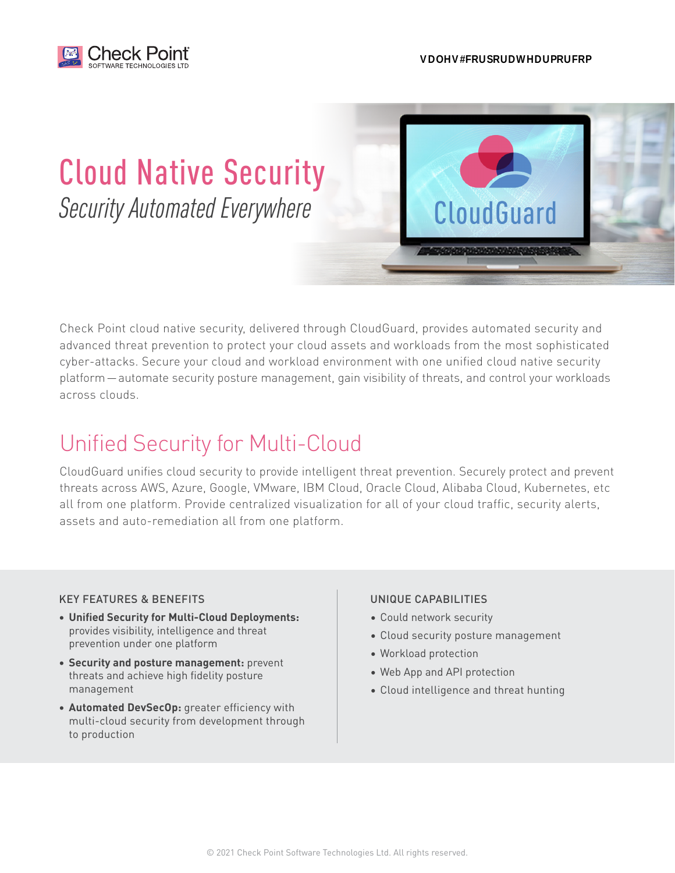

**CloudGuard** 

# Cloud Native Security *Security Automated Everywhere*

Check Point cloud native security, delivered through CloudGuard, provides automated security and advanced threat prevention to protect your cloud assets and workloads from the most sophisticated cyber-attacks. Secure your cloud and workload environment with one unified cloud native security platform—automate security posture management, gain visibility of threats, and control your workloads across clouds.

## Unified Security for Multi-Cloud

CloudGuard unifies cloud security to provide intelligent threat prevention. Securely protect and prevent threats across AWS, Azure, Google, VMware, IBM Cloud, Oracle Cloud, Alibaba Cloud, Kubernetes, etc all from one platform. Provide centralized visualization for all of your cloud traffic, security alerts, assets and auto-remediation all from one platform.

#### KEY FEATURES & BENEFITS

- **• Unified Security for Multi-Cloud Deployments:** provides visibility, intelligence and threat prevention under one platform
- **• Security and posture management:** prevent threats and achieve high fidelity posture management
- **• Automated DevSecOp:** greater efficiency with multi-cloud security from development through to production

#### UNIQUE CAPABILITIES

- Could network security
- Cloud security posture management
- Workload protection
- Web App and API protection
- Cloud intelligence and threat hunting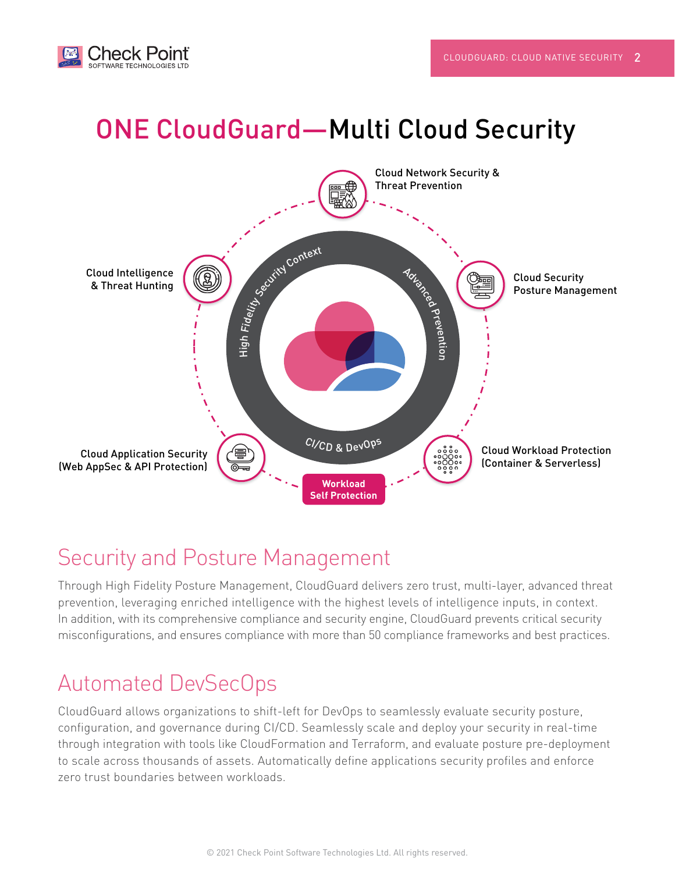

# ONE CloudGuard—Multi Cloud Security



#### Security and Posture Management

Through High Fidelity Posture Management, CloudGuard delivers zero trust, multi-layer, advanced threat prevention, leveraging enriched intelligence with the highest levels of intelligence inputs, in context. In addition, with its comprehensive compliance and security engine, CloudGuard prevents critical security misconfigurations, and ensures compliance with more than 50 compliance frameworks and best practices.

#### Automated DevSecOps

CloudGuard allows organizations to shift-left for DevOps to seamlessly evaluate security posture, configuration, and governance during CI/CD. Seamlessly scale and deploy your security in real-time through integration with tools like CloudFormation and Terraform, and evaluate posture pre-deployment to scale across thousands of assets. Automatically define applications security profiles and enforce zero trust boundaries between workloads.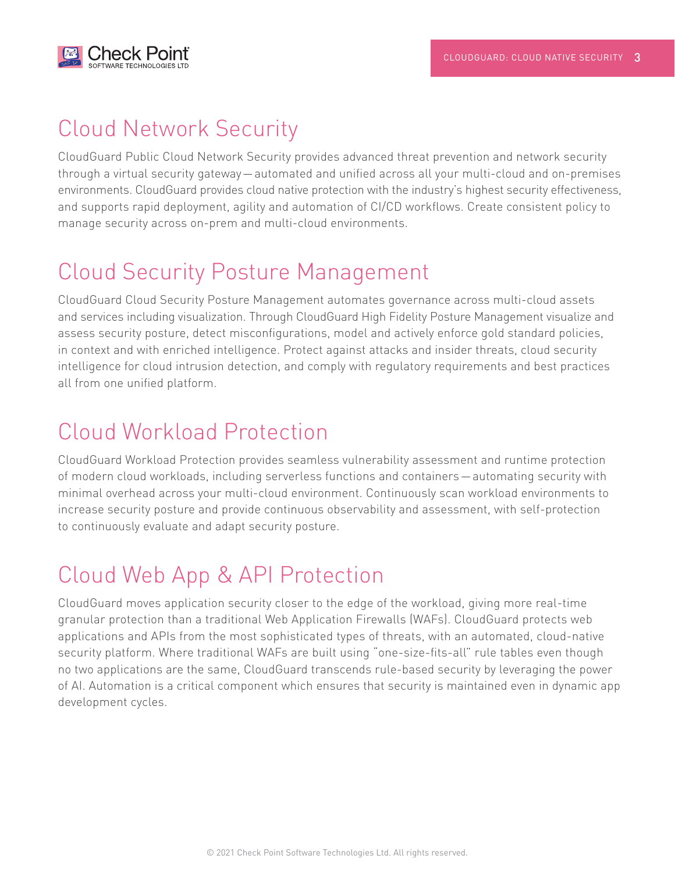

### Cloud Network Security

CloudGuard Public Cloud Network Security provides advanced threat prevention and network security through a virtual security gateway—automated and unified across all your multi-cloud and on-premises environments. CloudGuard provides cloud native protection with the industry's highest security effectiveness, and supports rapid deployment, agility and automation of CI/CD workflows. Create consistent policy to manage security across on-prem and multi-cloud environments.

### Cloud Security Posture Management

CloudGuard Cloud Security Posture Management automates governance across multi-cloud assets and services including visualization. Through CloudGuard High Fidelity Posture Management visualize and assess security posture, detect misconfigurations, model and actively enforce gold standard policies, in context and with enriched intelligence. Protect against attacks and insider threats, cloud security intelligence for cloud intrusion detection, and comply with regulatory requirements and best practices all from one unified platform.

#### Cloud Workload Protection

CloudGuard Workload Protection provides seamless vulnerability assessment and runtime protection of modern cloud workloads, including serverless functions and containers—automating security with minimal overhead across your multi-cloud environment. Continuously scan workload environments to increase security posture and provide continuous observability and assessment, with self-protection to continuously evaluate and adapt security posture.

# Cloud Web App & API Protection

CloudGuard moves application security closer to the edge of the workload, giving more real-time granular protection than a traditional Web Application Firewalls (WAFs). CloudGuard protects web applications and APIs from the most sophisticated types of threats, with an automated, cloud-native security platform. Where traditional WAFs are built using "one-size-fits-all" rule tables even though no two applications are the same, CloudGuard transcends rule-based security by leveraging the power of AI. Automation is a critical component which ensures that security is maintained even in dynamic app development cycles.